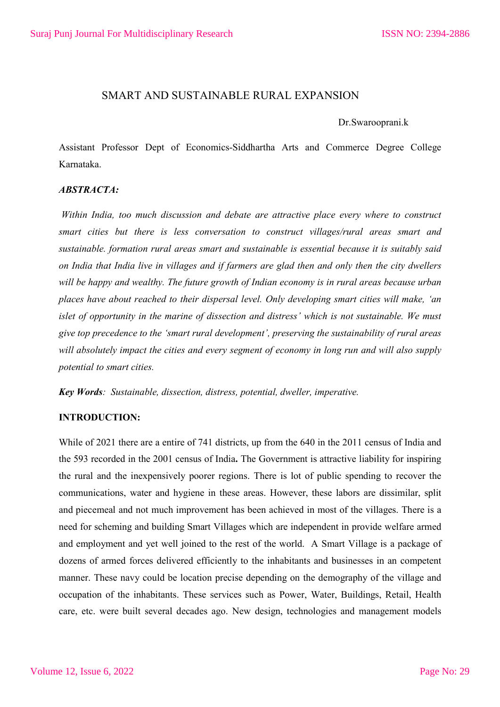# SMART AND SUSTAINABLE RURAL EXPANSION

#### Dr.Swarooprani.k

Assistant Professor Dept of Economics-Siddhartha Arts and Commerce Degree College Karnataka.

## *ABSTRACTA:*

*Within India, too much discussion and debate are attractive place every where to construct smart cities but there is less conversation to construct villages/rural areas smart and sustainable. formation rural areas smart and sustainable is essential because it is suitably said on India that India live in villages and if farmers are glad then and only then the city dwellers will be happy and wealthy. The future growth of Indian economy is in rural areas because urban places have about reached to their dispersal level. Only developing smart cities will make, 'an islet of opportunity in the marine of dissection and distress' which is not sustainable. We must give top precedence to the 'smart rural development', preserving the sustainability of rural areas will absolutely impact the cities and every segment of economy in long run and will also supply potential to smart cities.*

*Key Words: Sustainable, dissection, distress, potential, dweller, imperative.* 

### **INTRODUCTION:**

While of 2021 there are a entire of 741 districts, up from the 640 in the 2011 census of India and the 593 recorded in the 2001 census of India**.** The Government is attractive liability for inspiring the rural and the inexpensively poorer regions. There is lot of public spending to recover the communications, water and hygiene in these areas. However, these labors are dissimilar, split and piecemeal and not much improvement has been achieved in most of the villages. There is a need for scheming and building Smart Villages which are independent in provide welfare armed and employment and yet well joined to the rest of the world. A Smart Village is a package of dozens of armed forces delivered efficiently to the inhabitants and businesses in an competent manner. These navy could be location precise depending on the demography of the village and occupation of the inhabitants. These services such as Power, Water, Buildings, Retail, Health care, etc. were built several decades ago. New design, technologies and management models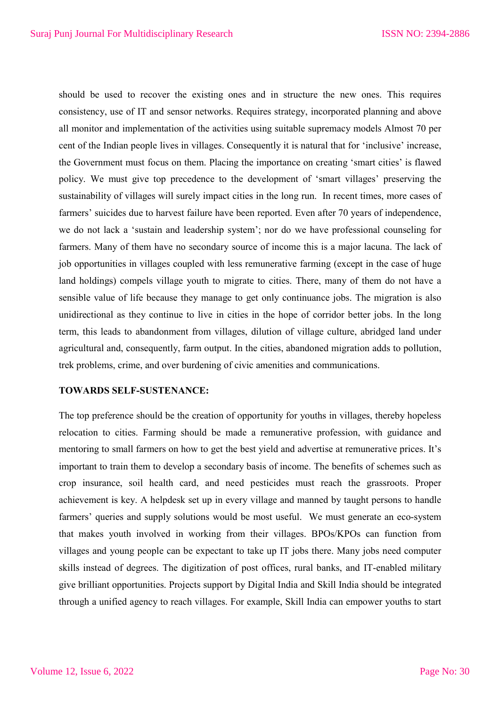should be used to recover the existing ones and in structure the new ones. This requires consistency, use of IT and sensor networks. Requires strategy, incorporated planning and above all monitor and implementation of the activities using suitable supremacy models Almost 70 per cent of the Indian people lives in villages. Consequently it is natural that for 'inclusive' increase, the Government must focus on them. Placing the importance on creating 'smart cities' is flawed policy. We must give top precedence to the development of 'smart villages' preserving the sustainability of villages will surely impact cities in the long run. In recent times, more cases of farmers' suicides due to harvest failure have been reported. Even after 70 years of independence, we do not lack a 'sustain and leadership system'; nor do we have professional counseling for farmers. Many of them have no secondary source of income this is a major lacuna. The lack of job opportunities in villages coupled with less remunerative farming (except in the case of huge land holdings) compels village youth to migrate to cities. There, many of them do not have a sensible value of life because they manage to get only continuance jobs. The migration is also unidirectional as they continue to live in cities in the hope of corridor better jobs. In the long term, this leads to abandonment from villages, dilution of village culture, abridged land under agricultural and, consequently, farm output. In the cities, abandoned migration adds to pollution, trek problems, crime, and over burdening of civic amenities and communications.

## **TOWARDS SELF-SUSTENANCE:**

The top preference should be the creation of opportunity for youths in villages, thereby hopeless relocation to cities. Farming should be made a remunerative profession, with guidance and mentoring to small farmers on how to get the best yield and advertise at remunerative prices. It's important to train them to develop a secondary basis of income. The benefits of schemes such as crop insurance, soil health card, and need pesticides must reach the grassroots. Proper achievement is key. A helpdesk set up in every village and manned by taught persons to handle farmers' queries and supply solutions would be most useful. We must generate an eco-system that makes youth involved in working from their villages. BPOs/KPOs can function from villages and young people can be expectant to take up IT jobs there. Many jobs need computer skills instead of degrees. The digitization of post offices, rural banks, and IT-enabled military give brilliant opportunities. Projects support by Digital India and Skill India should be integrated through a unified agency to reach villages. For example, Skill India can empower youths to start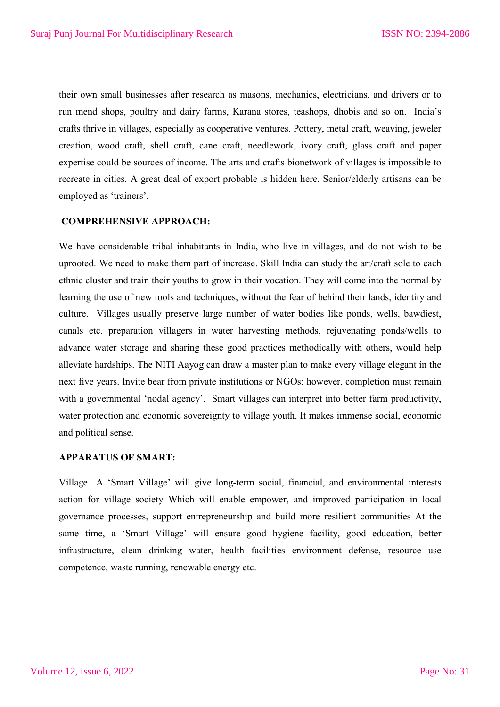their own small businesses after research as masons, mechanics, electricians, and drivers or to run mend shops, poultry and dairy farms, Karana stores, teashops, dhobis and so on. India's crafts thrive in villages, especially as cooperative ventures. Pottery, metal craft, weaving, jeweler creation, wood craft, shell craft, cane craft, needlework, ivory craft, glass craft and paper expertise could be sources of income. The arts and crafts bionetwork of villages is impossible to recreate in cities. A great deal of export probable is hidden here. Senior/elderly artisans can be employed as 'trainers'.

### **COMPREHENSIVE APPROACH:**

We have considerable tribal inhabitants in India, who live in villages, and do not wish to be uprooted. We need to make them part of increase. Skill India can study the art/craft sole to each ethnic cluster and train their youths to grow in their vocation. They will come into the normal by learning the use of new tools and techniques, without the fear of behind their lands, identity and culture. Villages usually preserve large number of water bodies like ponds, wells, bawdiest, canals etc. preparation villagers in water harvesting methods, rejuvenating ponds/wells to advance water storage and sharing these good practices methodically with others, would help alleviate hardships. The NITI Aayog can draw a master plan to make every village elegant in the next five years. Invite bear from private institutions or NGOs; however, completion must remain with a governmental 'nodal agency'. Smart villages can interpret into better farm productivity, water protection and economic sovereignty to village youth. It makes immense social, economic and political sense.

### **APPARATUS OF SMART:**

Village A 'Smart Village' will give long-term social, financial, and environmental interests action for village society Which will enable empower, and improved participation in local governance processes, support entrepreneurship and build more resilient communities At the same time, a 'Smart Village' will ensure good hygiene facility, good education, better infrastructure, clean drinking water, health facilities environment defense, resource use competence, waste running, renewable energy etc.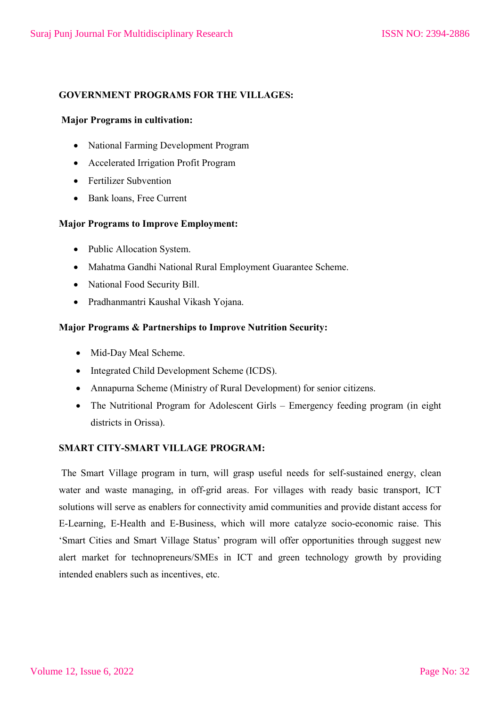# **GOVERNMENT PROGRAMS FOR THE VILLAGES:**

## **Major Programs in cultivation:**

- National Farming Development Program
- Accelerated Irrigation Profit Program
- Fertilizer Subvention
- Bank loans, Free Current

## **Major Programs to Improve Employment:**

- Public Allocation System.
- Mahatma Gandhi National Rural Employment Guarantee Scheme.
- National Food Security Bill.
- Pradhanmantri Kaushal Vikash Yojana.

## **Major Programs & Partnerships to Improve Nutrition Security:**

- Mid-Day Meal Scheme.
- Integrated Child Development Scheme (ICDS).
- Annapurna Scheme (Ministry of Rural Development) for senior citizens.
- The Nutritional Program for Adolescent Girls Emergency feeding program (in eight districts in Orissa).

## **SMART CITY-SMART VILLAGE PROGRAM:**

The Smart Village program in turn, will grasp useful needs for self-sustained energy, clean water and waste managing, in off-grid areas. For villages with ready basic transport, ICT solutions will serve as enablers for connectivity amid communities and provide distant access for E-Learning, E-Health and E-Business, which will more catalyze socio-economic raise. This 'Smart Cities and Smart Village Status' program will offer opportunities through suggest new alert market for technopreneurs/SMEs in ICT and green technology growth by providing intended enablers such as incentives, etc.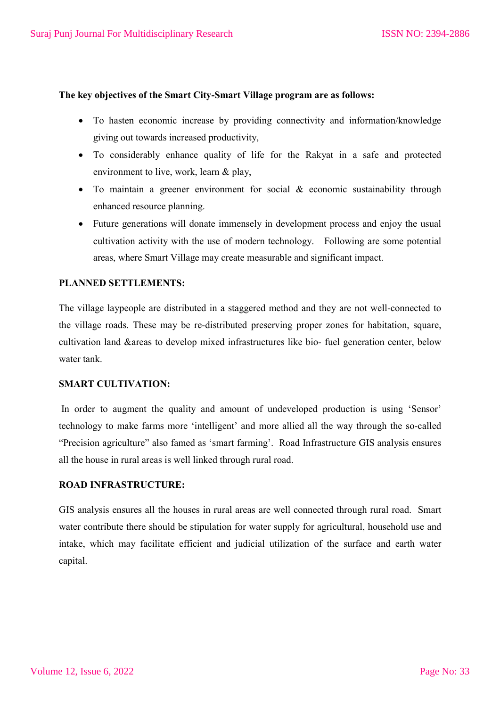### **The key objectives of the Smart City-Smart Village program are as follows:**

- To hasten economic increase by providing connectivity and information/knowledge giving out towards increased productivity,
- To considerably enhance quality of life for the Rakyat in a safe and protected environment to live, work, learn & play,
- To maintain a greener environment for social & economic sustainability through enhanced resource planning.
- Future generations will donate immensely in development process and enjoy the usual cultivation activity with the use of modern technology. Following are some potential areas, where Smart Village may create measurable and significant impact.

### **PLANNED SETTLEMENTS:**

The village laypeople are distributed in a staggered method and they are not well-connected to the village roads. These may be re-distributed preserving proper zones for habitation, square, cultivation land &areas to develop mixed infrastructures like bio- fuel generation center, below water tank.

### **SMART CULTIVATION:**

In order to augment the quality and amount of undeveloped production is using 'Sensor' technology to make farms more 'intelligent' and more allied all the way through the so-called "Precision agriculture" also famed as 'smart farming'. Road Infrastructure GIS analysis ensures all the house in rural areas is well linked through rural road.

## **ROAD INFRASTRUCTURE:**

GIS analysis ensures all the houses in rural areas are well connected through rural road. Smart water contribute there should be stipulation for water supply for agricultural, household use and intake, which may facilitate efficient and judicial utilization of the surface and earth water capital.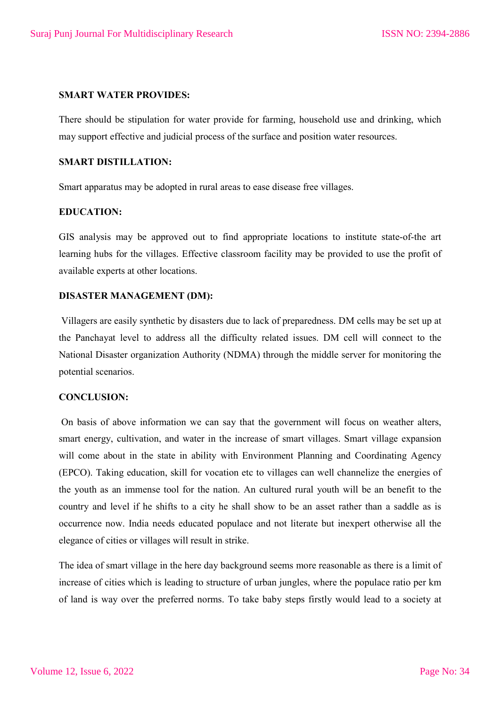### **SMART WATER PROVIDES:**

There should be stipulation for water provide for farming, household use and drinking, which may support effective and judicial process of the surface and position water resources.

# **SMART DISTILLATION:**

Smart apparatus may be adopted in rural areas to ease disease free villages.

### **EDUCATION:**

GIS analysis may be approved out to find appropriate locations to institute state-of-the art learning hubs for the villages. Effective classroom facility may be provided to use the profit of available experts at other locations.

### **DISASTER MANAGEMENT (DM):**

Villagers are easily synthetic by disasters due to lack of preparedness. DM cells may be set up at the Panchayat level to address all the difficulty related issues. DM cell will connect to the National Disaster organization Authority (NDMA) through the middle server for monitoring the potential scenarios.

#### **CONCLUSION:**

On basis of above information we can say that the government will focus on weather alters, smart energy, cultivation, and water in the increase of smart villages. Smart village expansion will come about in the state in ability with Environment Planning and Coordinating Agency (EPCO). Taking education, skill for vocation etc to villages can well channelize the energies of the youth as an immense tool for the nation. An cultured rural youth will be an benefit to the country and level if he shifts to a city he shall show to be an asset rather than a saddle as is occurrence now. India needs educated populace and not literate but inexpert otherwise all the elegance of cities or villages will result in strike.

The idea of smart village in the here day background seems more reasonable as there is a limit of increase of cities which is leading to structure of urban jungles, where the populace ratio per km of land is way over the preferred norms. To take baby steps firstly would lead to a society at